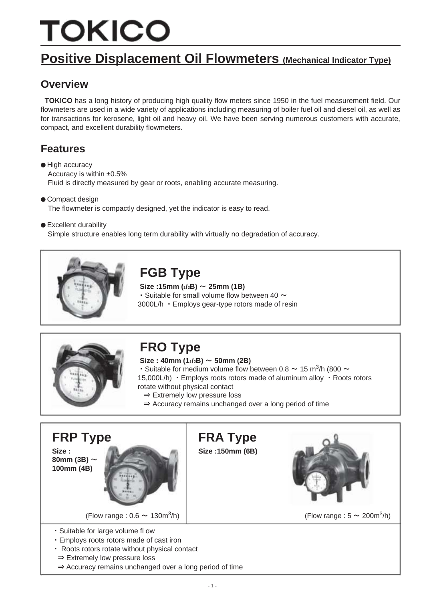# TOKICO

# **Positive Displacement Oil Flowmeters (Mechanical Indicator Type)**

#### **Overview**

**TOKICO** has a long history of producing high quality flow meters since 1950 in the fuel measurement field. Our flowmeters are used in a wide variety of applications including measuring of boiler fuel oil and diesel oil, as well as for transactions for kerosene, light oil and heavy oil. We have been serving numerous customers with accurate, compact, and excellent durability flowmeters.

#### **Features**

● High accuracy Accuracy is within ±0.5% Fluid is directly measured by gear or roots, enabling accurate measuring.

- Compact design The flowmeter is compactly designed, yet the indicator is easy to read.
- Excellent durability

Simple structure enables long term durability with virtually no degradation of accuracy.



# **FGB Type**

 $Size : 15mm$  ( $1/2B$ )  $\sim$  25mm (1B)  $\cdot$  Suitable for small volume flow between 40  $\sim$ 3000L/h ・Employs gear-type rotors made of resin



# **FRO Type**

 $Size: 40mm (1/2B) \sim 50mm (2B)$ 

- Suitable for medium volume flow between 0.8  $\sim$  15 m<sup>3</sup>/h (800  $\sim$
- 15,000L/h) ・Employs roots rotors made of aluminum alloy ・Roots rotors

rotate without physical contact

- ⇒ Extremely low pressure loss
- ⇒ Accuracy remains unchanged over a long period of time



**80mm (3B)** ~ **100mm (4B)**



(Flow range :  $0.6 \sim 130 \text{m}^3/\text{h}$ )  $\langle$ h)  $|$  (Flow range : 5  $\sim$  200 $\mathrm{m}^3$ /h)

- ・Suitable for large volume fl ow
- ・Employs roots rotors made of cast iron
- ・ Roots rotors rotate without physical contact
- ⇒ Extremely low pressure loss
- ⇒ Accuracy remains unchanged over a long period of time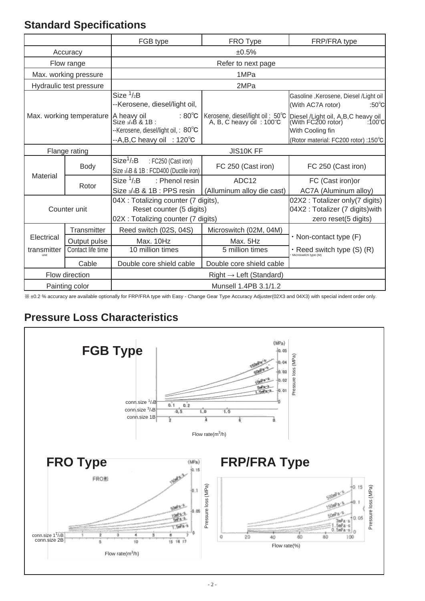### **Standard Specifications**

|                            |                         | FGB type                                                                                                                           | FRO Type                                                               | FRP/FRA type                                                                                                                                    |  |  |  |  |  |
|----------------------------|-------------------------|------------------------------------------------------------------------------------------------------------------------------------|------------------------------------------------------------------------|-------------------------------------------------------------------------------------------------------------------------------------------------|--|--|--|--|--|
|                            | Accuracy                | ±0.5%                                                                                                                              |                                                                        |                                                                                                                                                 |  |  |  |  |  |
|                            | Flow range              |                                                                                                                                    | Refer to next page                                                     |                                                                                                                                                 |  |  |  |  |  |
|                            | Max. working pressure   |                                                                                                                                    | 1MPa                                                                   |                                                                                                                                                 |  |  |  |  |  |
|                            | Hydraulic test pressure |                                                                                                                                    | 2MPa                                                                   |                                                                                                                                                 |  |  |  |  |  |
|                            |                         | Size $1/2B$<br>--Kerosene, diesel/light oil,                                                                                       |                                                                        | Gasoline, Kerosene, Diesel / Light oil<br>(With AC7A rotor)<br>:50 $^{\circ}$ C                                                                 |  |  |  |  |  |
| Max. working temperature   |                         | $:80^{\circ}$ C<br>A heavy oil<br>Size 3/4B & 1B :<br>--Kerosene, diesel/light oil,: 80°C<br>$-A,B,C$ heavy oil : 120 $^{\circ}$ C | Kerosene, diesel/light oil: 50°C<br>A, B, C heavy oil: $100^{\circ}$ C | Diesel /Light oil, A,B,C heavy oil<br>(With FC200 rotor) :100°C<br>:100 $\degree$ C<br>With Cooling fin<br>(Rotor material: FC200 rotor) :150°C |  |  |  |  |  |
|                            | Flange rating           | JIS10K FF                                                                                                                          |                                                                        |                                                                                                                                                 |  |  |  |  |  |
|                            | Body                    | Size <sup>1</sup> /2B<br>: FC250 (Cast iron)<br>Size 3/4B & 1B : FCD400 (Ductile iron)                                             | FC 250 (Cast iron)                                                     | FC 250 (Cast iron)                                                                                                                              |  |  |  |  |  |
| Material                   | Rotor                   | Size $1/2B$<br>: Phenol resin<br>Size 3/4B & 1B : PPS resin                                                                        | ADC12<br>(Alluminum alloy die cast)                                    | FC (Cast iron) or<br>AC7A (Aluminum alloy)                                                                                                      |  |  |  |  |  |
| Counter unit               |                         | 04X : Totalizing counter (7 digits),<br>Reset counter (5 digits)<br>02X : Totalizing counter (7 digits)                            |                                                                        | 02X2 : Totalizer only (7 digits)<br>04X2 : Totalizer (7 digits) with<br>zero reset(5 digits)                                                    |  |  |  |  |  |
|                            | Transmitter             | Reed switch (02S, 04S)                                                                                                             | Microswitch (02M, 04M)                                                 |                                                                                                                                                 |  |  |  |  |  |
| Electrical<br>Output pulse |                         | Max. 10Hz                                                                                                                          | Max. 5Hz                                                               | • Non-contact type (F)                                                                                                                          |  |  |  |  |  |
| transmitter                | Contact life time       | 10 million times                                                                                                                   | 5 million times                                                        | • Reed switch type $(S)$ $(R)$<br>Microswitch type $(M)$                                                                                        |  |  |  |  |  |
| Cable                      |                         | Double core shield cable                                                                                                           | Double core shield cable                                               |                                                                                                                                                 |  |  |  |  |  |
| Flow direction             |                         |                                                                                                                                    | $Right \rightarrow Left$ (Standard)                                    |                                                                                                                                                 |  |  |  |  |  |
|                            | Painting color          | Munsell 1.4PB 3.1/1.2                                                                                                              |                                                                        |                                                                                                                                                 |  |  |  |  |  |

※ ±0.2 % accuracy are available optionally for FRP/FRA type with Easy - Change Gear Type Accuracy Adjuster(02X3 and 04X3) with special indent order only.

### **Pressure Loss Characteristics**

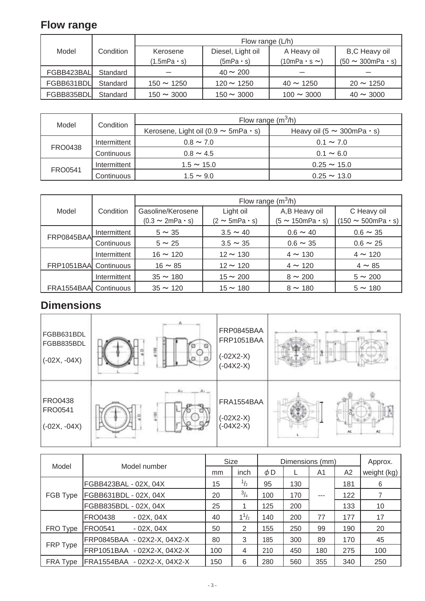## **Flow range**

|            |           |                 | Flow range (L/h)  |                        |                       |
|------------|-----------|-----------------|-------------------|------------------------|-----------------------|
| Model      | Condition | Kerosene        | Diesel, Light oil | A Heavy oil            | B,C Heavy oil         |
|            |           | (1.5mPa · s)    | $(5mPa \cdot s)$  | $(10mPa \cdot s \sim)$ | $(50 \sim 300$ mPa·s) |
| FGBB423BAL | Standard  |                 | $40 \sim 200$     |                        |                       |
| FGBB631BDL | Standard  | $150 \sim 1250$ | $120 \sim 1250$   | $40 \sim 1250$         | $20 \sim 1250$        |
| FGBB835BDL | Standard  | $150 \sim 3000$ | $150 \sim 3000$   | $100 \sim 3000$        | $40 \sim 3000$        |

|                | Condition    | Flow range $(m^3/h)$                            |                                       |  |  |  |
|----------------|--------------|-------------------------------------------------|---------------------------------------|--|--|--|
| Model          |              | Kerosene, Light oil (0.9 $\sim$ 5mPa $\cdot$ s) | Heavy oil (5 $\sim$ 300mPa $\cdot$ s) |  |  |  |
|                | Intermittent | $0.8 \sim 7.0$                                  | $0.1 \sim 7.0$                        |  |  |  |
| <b>FRO0438</b> | Continuous   | $0.8 \sim 4.5$                                  | $0.1 \sim 6.0$                        |  |  |  |
| <b>FRO0541</b> | Intermittent | $1.5 \sim 15.0$                                 | $0.25 \sim 15.0$                      |  |  |  |
|                | Continuous   | $1.5 \sim 9.0$                                  | $0.25 \sim 13.0$                      |  |  |  |

|                       |              |                           | Flow range $(m^3/h)$    |                      |                        |
|-----------------------|--------------|---------------------------|-------------------------|----------------------|------------------------|
| Model                 | Condition    | Gasoline/Kerosene         | Light oil               | A,B Heavy oil        | C Heavy oil            |
|                       |              | $(0.3 \sim 2mPa \cdot s)$ | $(2 \sim 5mPa \cdot s)$ | $(5 \sim 150$ mPa·s) | $(150 \sim 500$ mPa·s) |
| FRP0845BAA            | Intermittent | $5 \sim 35$               | $3.5 \sim 40$           | $0.6 \sim 40$        | $0.6 \sim 35$          |
|                       | Continuous   | $5 \sim 25$               | $3.5 \sim 35$           | $0.6 \sim 35$        | $0.6 \sim 25$          |
|                       | Intermittent | $16 \sim 120$             | $12 \sim 130$           | $4 \sim 130$         | $4 \sim 120$           |
| FRP1051BAA Continuous |              | $16 \sim 85$              | $12 \sim 120$           | $4 \sim 120$         | $4 \sim 85$            |
|                       | Intermittent | $35 \sim 180$             | $15 \sim 200$           | $8 \sim 200$         | $5 \sim 200$           |
| FRA1554BAA Continuous |              | $35 \sim 120$             | $15 \sim 180$           | $8 \sim 180$         | $5 \sim 180$           |

## **Dimensions**

| FGBB631BDL<br>FGBB835BDL<br>$(-02X, -04X)$ | 当 | FRP0845BAA<br><b>FRP1051BAA</b><br>$(-02X2-X)$<br>$(-04X2-X)$ | A2             |
|--------------------------------------------|---|---------------------------------------------------------------|----------------|
| FRO0438                                    | 읰 | FRA1554BAA                                                    | $\beta$        |
| FRO0541                                    |   | $(-02X2-X)$                                                   | A <sub>1</sub> |
| $(-02X, -04X)$                             |   | $(-04X2-X)$                                                   | A2             |

| Model    | Model number                  |     | Size          | Dimensions (mm) |     |       |     | Approx.     |
|----------|-------------------------------|-----|---------------|-----------------|-----|-------|-----|-------------|
|          |                               | mm  | inch          | $\phi$ D        |     | A1    | A2  | weight (kg) |
|          | FGBB423BAL - 02X, 04X         | 15  | $\frac{1}{2}$ | 95              | 130 |       | 181 | 6           |
| FGB Type | FGBB631BDL - 02X, 04X         | 20  | $^{3}/_{4}$   | 100             | 170 | $---$ | 122 |             |
|          | FGBB835BDL - 02X, 04X         | 25  |               | 125             | 200 |       | 133 | 10          |
|          | <b>FRO0438</b><br>$-02X, 04X$ | 40  | $1^{1/2}$     | 140             | 200 | 77    | 177 | 17          |
| FRO Type | <b>FRO0541</b><br>$-02X, 04X$ | 50  | 2             | 155             | 250 | 99    | 190 | 20          |
|          | FRP0845BAA - 02X2-X, 04X2-X   | 80  | 3             | 185             | 300 | 89    | 170 | 45          |
| FRP Type | FRP1051BAA - 02X2-X, 04X2-X   | 100 | 4             | 210             | 450 | 180   | 275 | 100         |
| FRA Type | FRA1554BAA - 02X2-X, 04X2-X   | 150 | 6             | 280             | 560 | 355   | 340 | 250         |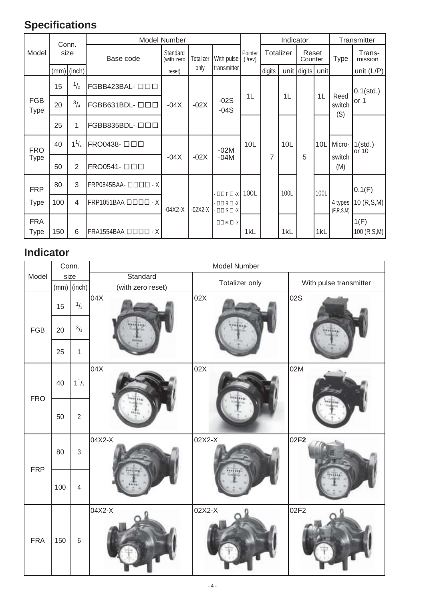## **Specifications**

|                           | Conn. |               |                                                                                | <b>Model Number</b>    |           |                                                                          |      |                | Indicator            |                  |      |                       | Transmitter           |             |                   |
|---------------------------|-------|---------------|--------------------------------------------------------------------------------|------------------------|-----------|--------------------------------------------------------------------------|------|----------------|----------------------|------------------|------|-----------------------|-----------------------|-------------|-------------------|
| Model                     | size  |               | Base code                                                                      | Standard<br>(with zero |           | Totalizer                                                                |      | With pulse     | Pointer<br>$($ /rev) | <b>Totalizer</b> |      | Reset<br>Counter      |                       | <b>Type</b> | Trans-<br>mission |
|                           |       | $(mm)$ (inch) |                                                                                | reset)                 | only      | transmitter                                                              |      | digits         |                      | unit digits      | unit |                       | unit $(L/P)$          |             |                   |
|                           | 15    | 1/2           | FGBB423BAL- 000                                                                |                        |           |                                                                          |      |                |                      |                  |      |                       | $0.1$ (std.)          |             |                   |
| <b>FGB</b><br><b>Type</b> | 20    | $^{3}/_{4}$   | FGBB631BDL-ロロロ                                                                 | $-04X$                 | $-02X$    | $-02S$<br>$-04S$                                                         | 1L   |                | 1 <sub>L</sub>       |                  | 1L   | Reed<br>switch<br>(S) | or 1                  |             |                   |
|                           | 25    | 1             | FGBB835BDL- 000                                                                |                        |           |                                                                          |      |                |                      |                  |      |                       |                       |             |                   |
| <b>FRO</b>                | 40    | $1^{1/2}$     | FRO0438- 000                                                                   |                        |           | $-02M$                                                                   | 10L  |                | 10L                  |                  | 10L  | Micro-                | $1(stat.)$<br>or $10$ |             |                   |
| <b>Type</b>               | 50    | 2             | FRO0541- 000                                                                   | $-04X$                 | $-02X$    | $-04M$                                                                   |      | $\overline{7}$ |                      | 5                |      | switch<br>(M)         |                       |             |                   |
| <b>FRP</b>                | 80    | 3             | $FRP0845BAA - \square \square \square \square \square \square \square \square$ |                        |           | $ \Box$ $\Box$ $\Box$ $ X$                                               | 100L |                | 100L                 |                  | 100L |                       | 0.1(F)                |             |                   |
| <b>Type</b>               | 100   | 4             | $FRP1051BAA$ $\Box$ $\Box$ $\Box$ $\Box$ $\Box$ $\Box$ $\lor$                  | $-04X2-X$              | $-02X2-X$ | $ \Box$ $\Box$ $\Box$ $\Box$ $\Box$ $\Box$<br>$ \Box$ $\Box$ $\Box$ $ X$ |      |                |                      |                  |      | 4 types<br>(F,R,S,M)  | 10 (R, S, M)          |             |                   |
| <b>FRA</b><br><b>Type</b> | 150   | 6             | $FRA1554BAA$ $\Box$ $\Box$ $\Box$ $\Box$ $\Box$ $\Box$ $\Box$                  |                        |           | $\cdot$ $\square$ $\square$ $\times$                                     | 1kL  |                | 1kL                  |                  | 1kL  |                       | 1(F)<br>100 (R,S,M)   |             |                   |

## **Indicator**

|             |     | Conn.          |                   | Model Number   |                        |
|-------------|-----|----------------|-------------------|----------------|------------------------|
| Model       |     | size           | Standard          | Totalizer only | With pulse transmitter |
|             |     | $(mm)$ (inch)  | (with zero reset) |                |                        |
|             | 15  | 1/2            | 04X               | 02X            | 02S                    |
| ${\sf FGB}$ | 20  | 3/4            |                   |                |                        |
|             | 25  | $\mathbf{1}$   |                   |                |                        |
| <b>FRO</b>  | 40  | $1^{1/2}$      | 04X               | 02X            | 02M                    |
|             | 50  | $\overline{2}$ |                   |                |                        |
| <b>FRP</b>  | 80  | $\mathfrak{S}$ | 04X2-X            | 02X2-X         | 02 <b>F2</b>           |
|             | 100 | $\overline{4}$ |                   |                |                        |
| <b>FRA</b>  | 150 | $\,6\,$        | 04X2-X            | 02X2-X         | 02F2                   |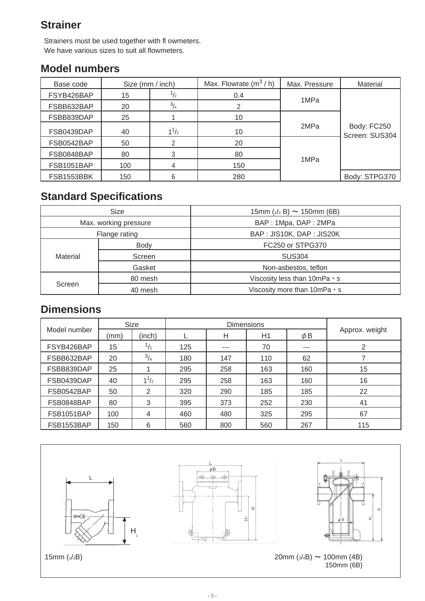#### **Strainer**

Strainers must be used together with fl owmeters. We have various sizes to suit all flowmeters.

#### **Model numbers**

| Base code  | Size (mm / inch) |                      | Max. Flowrate $(m^3/h)$ | Max. Pressure | Material                      |
|------------|------------------|----------------------|-------------------------|---------------|-------------------------------|
| FSYB426BAP | 15               | 12                   | 0.4                     |               |                               |
| FSBB632BAP | 20               | 3 <sub>1</sub><br>14 |                         | 1MPa          |                               |
| FSBB839DAP | 25               |                      | 10                      |               |                               |
| FSB0439DAP | 40               | $1^{1/2}$            | 10                      | 2MPa          | Body: FC250<br>Screen: SUS304 |
| FSB0542BAP | 50               |                      | 20                      |               |                               |
| FSB0848BAP | 80               |                      | 80                      |               |                               |
| FSB1051BAP | 100              |                      | 150                     | 1MPa          |                               |
| FSB1553BBK | 150              |                      | 280                     |               | Body: STPG370                 |

## **Standard Specifications**

|                       | Size        | 15mm $(1/2 B) \sim 150$ mm (6B)     |  |  |
|-----------------------|-------------|-------------------------------------|--|--|
| Max. working pressure |             | BAP: 1Mpa, DAP: 2MPa                |  |  |
| Flange rating         |             | BAP: JIS10K, DAP: JIS20K            |  |  |
|                       | <b>Body</b> | FC250 or STPG370                    |  |  |
| Material              | Screen      | <b>SUS304</b>                       |  |  |
|                       | Gasket      | Non-asbestos, teflon                |  |  |
|                       | 80 mesh     | Viscosity less than $10mPa \cdot s$ |  |  |
| Screen                | 40 mesh     | Viscosity more than $10mPa \cdot s$ |  |  |

#### **Dimensions**

|              |      | <b>Size</b> |     | <b>Dimensions</b> |     |          |                |
|--------------|------|-------------|-----|-------------------|-----|----------|----------------|
| Model number | (mm) | (inch)      |     | Н                 | H1  | $\phi$ B | Approx. weight |
| FSYB426BAP   | 15   | 1/2         | 125 | $- - -$           | 70  | $---$    | 2              |
| FSBB632BAP   | 20   | $^{3}/_{4}$ | 180 | 147               | 110 | 62       |                |
| FSBB839DAP   | 25   |             | 295 | 258               | 163 | 160      | 15             |
| FSB0439DAP   | 40   | $1^{1/2}$   | 295 | 258               | 163 | 160      | 16             |
| FSB0542BAP   | 50   | 2           | 320 | 290               | 185 | 185      | 22             |
| FSB0848BAP   | 80   | 3           | 395 | 373               | 252 | 230      | 41             |
| FSB1051BAP   | 100  | 4           | 460 | 480               | 325 | 295      | 67             |
| FSB1553BAP   | 150  | 6           | 560 | 800               | 560 | 267      | 115            |